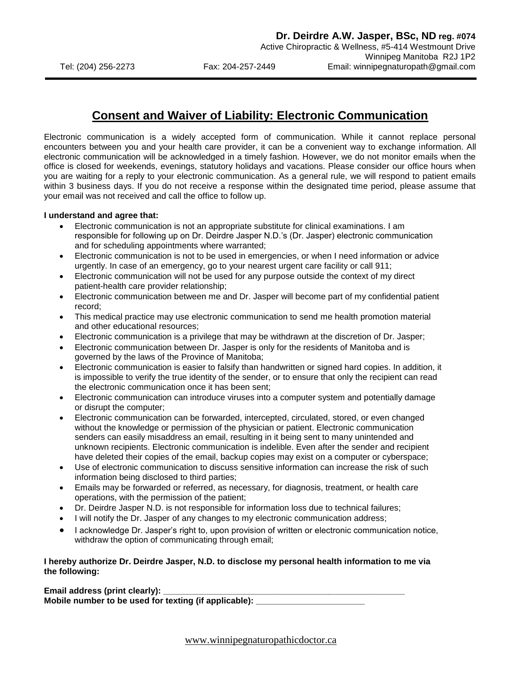## **Consent and Waiver of Liability: Electronic Communication**

Electronic communication is a widely accepted form of communication. While it cannot replace personal encounters between you and your health care provider, it can be a convenient way to exchange information. All electronic communication will be acknowledged in a timely fashion. However, we do not monitor emails when the office is closed for weekends, evenings, statutory holidays and vacations. Please consider our office hours when you are waiting for a reply to your electronic communication. As a general rule, we will respond to patient emails within 3 business days. If you do not receive a response within the designated time period, please assume that your email was not received and call the office to follow up.

## **I understand and agree that:**

- Electronic communication is not an appropriate substitute for clinical examinations. I am responsible for following up on Dr. Deirdre Jasper N.D.'s (Dr. Jasper) electronic communication and for scheduling appointments where warranted;
- Electronic communication is not to be used in emergencies, or when I need information or advice urgently. In case of an emergency, go to your nearest urgent care facility or call 911;
- Electronic communication will not be used for any purpose outside the context of my direct patient-health care provider relationship;
- Electronic communication between me and Dr. Jasper will become part of my confidential patient record;
- This medical practice may use electronic communication to send me health promotion material and other educational resources;
- Electronic communication is a privilege that may be withdrawn at the discretion of Dr. Jasper;
- Electronic communication between Dr. Jasper is only for the residents of Manitoba and is governed by the laws of the Province of Manitoba;
- Electronic communication is easier to falsify than handwritten or signed hard copies. In addition, it is impossible to verify the true identity of the sender, or to ensure that only the recipient can read the electronic communication once it has been sent;
- Electronic communication can introduce viruses into a computer system and potentially damage or disrupt the computer;
- Electronic communication can be forwarded, intercepted, circulated, stored, or even changed without the knowledge or permission of the physician or patient. Electronic communication senders can easily misaddress an email, resulting in it being sent to many unintended and unknown recipients. Electronic communication is indelible. Even after the sender and recipient have deleted their copies of the email, backup copies may exist on a computer or cyberspace;
- Use of electronic communication to discuss sensitive information can increase the risk of such information being disclosed to third parties;
- Emails may be forwarded or referred, as necessary, for diagnosis, treatment, or health care operations, with the permission of the patient;
- Dr. Deirdre Jasper N.D. is not responsible for information loss due to technical failures;
- I will notify the Dr. Jasper of any changes to my electronic communication address;
- I acknowledge Dr. Jasper's right to, upon provision of written or electronic communication notice, withdraw the option of communicating through email;

## **I hereby authorize Dr. Deirdre Jasper, N.D. to disclose my personal health information to me via the following:**

**Email address (print clearly): Mobile number to be used for texting (if applicable): \_\_\_\_\_\_\_\_\_\_\_\_\_\_\_\_\_\_\_\_\_\_\_** 

www.winnipegnaturopathicdoctor.ca